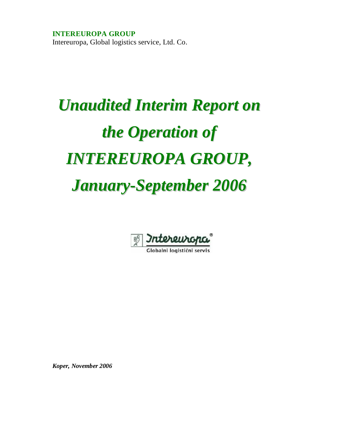**INTEREUROPA GROUP**  Intereuropa, Global logistics service, Ltd. Co.

# *Unaudited Interim Report on the Operation of INTEREUROPA GROUP, January-September 2006*



Globalni logistični servis

*Koper, November 2006*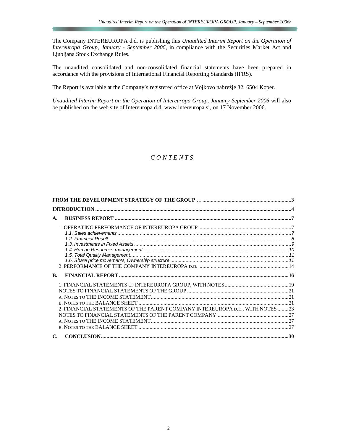The Company INTEREUROPA d.d. is publishing this *Unaudited Interim Report on the Operation of Intereuropa Group, January - September 2006,* in compliance with the Securities Market Act and Ljubljana Stock Exchange Rules.

The unaudited consolidated and non-consolidated financial statements have been prepared in accordance with the provisions of International Financial Reporting Standards (IFRS).

The Report is available at the Company's registered office at Vojkovo nabrežje 32, 6504 Koper.

*Unaudited Interim Report on the Operation of Intereuropa Group, January-September 2006* will also be published on the web site of Intereuropa d.d. [www.intereuropa.si,](http://www.intereuropa.si) on 17 November 2006.

## *C O N T E N T S*

| A.                                                                            |  |
|-------------------------------------------------------------------------------|--|
|                                                                               |  |
|                                                                               |  |
|                                                                               |  |
|                                                                               |  |
|                                                                               |  |
|                                                                               |  |
|                                                                               |  |
|                                                                               |  |
| <b>B.</b>                                                                     |  |
|                                                                               |  |
|                                                                               |  |
|                                                                               |  |
|                                                                               |  |
| 2. FINANCIAL STATEMENTS OF THE PARENT COMPANY INTEREUROPA D.D., WITH NOTES 23 |  |
|                                                                               |  |
|                                                                               |  |
|                                                                               |  |
| $\mathbf{C}$                                                                  |  |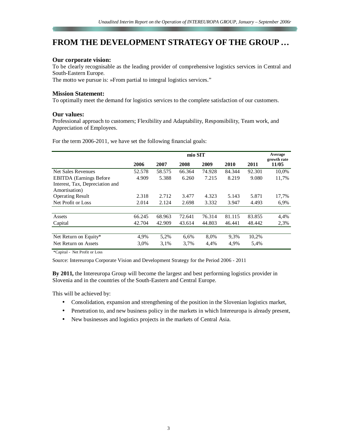# **FROM THE DEVELOPMENT STRATEGY OF THE GROUP …**

## **Our corporate vision:**

To be clearly recognisable as the leading provider of comprehensive logistics services in Central and South-Eastern Europe.

The motto we pursue is: »From partial to integral logistics services."

## **Mission Statement:**

To optimally meet the demand for logistics services to the complete satisfaction of our customers.

## **Our values:**

Professional approach to customers; Flexibility and Adaptability, Responsibility, Team work, and Appreciation of Employees.

For the term 2006-2011, we have set the following financial goals:

|                                 | mio SIT |        |        |        |        |        | Average<br>growth rate |
|---------------------------------|---------|--------|--------|--------|--------|--------|------------------------|
|                                 | 2006    | 2007   | 2008   | 2009   | 2010   | 2011   | 11/05                  |
| <b>Net Sales Revenues</b>       | 52.578  | 58.575 | 66.364 | 74.928 | 84.344 | 92.301 | 10,0%                  |
| <b>EBITDA</b> (Earnings Before  | 4.909   | 5.388  | 6.260  | 7.215  | 8.219  | 9.080  | 11,7%                  |
| Interest, Tax, Depreciation and |         |        |        |        |        |        |                        |
| Amortisation)                   |         |        |        |        |        |        |                        |
| <b>Operating Result</b>         | 2.318   | 2.712  | 3.477  | 4.323  | 5.143  | 5.871  | 17,7%                  |
| Net Profit or Loss              | 2.014   | 2.124  | 2.698  | 3.332  | 3.947  | 4.493  | 6,9%                   |
|                                 |         |        |        |        |        |        |                        |
| Assets                          | 66.245  | 68.963 | 72.641 | 76.314 | 81.115 | 83.855 | 4,4%                   |
| Capital                         | 42.704  | 42.909 | 43.614 | 44.803 | 46.441 | 48.442 | 2,3%                   |
|                                 |         |        |        |        |        |        |                        |
| Net Return on Equity*           | 4,9%    | 5,2%   | 6,6%   | 8,0%   | 9.3%   | 10,2%  |                        |
| Net Return on Assets            | 3,0%    | 3.1%   | 3,7%   | 4,4%   | 4,9%   | 5,4%   |                        |

\*Capital - Net Profit or Loss

Source: Intereuropa Corporate Vision and Development Strategy for the Period 2006 - 2011

**By 2011,** the Intereuropa Group will become the largest and best performing logistics provider in Slovenia and in the countries of the South-Eastern and Central Europe.

This will be achieved by:

- Consolidation, expansion and strengthening of the position in the Slovenian logistics market,
- Penetration to, and new business policy in the markets in which Intereuropa is already present,
- New businesses and logistics projects in the markets of Central Asia.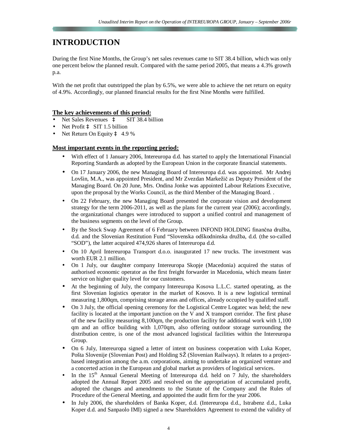# **INTRODUCTION**

During the first Nine Months, the Group's net sales revenues came to SIT 38.4 billion, which was only one percent below the planned result. Compared with the same period 2005, that means a 4.3% growth p.a.

With the net profit that outstripped the plan by 6.5%, we were able to achieve the net return on equity of 4.9%. Accordingly, our planned financial results for the first Nine Months were fulfilled.

## **The key achievements of this period:**

- Net Sales Revenues à SIT 38.4 billion
- Net Profit à SIT 1.5 billion
- Net Return On Equity  $\hat{a}$  4.9 %

## **Most important events in the reporting period:**

- With effect of 1 January 2006, Intereuropa d.d. has started to apply the International Financial Reporting Standards as adopted by the European Union in the corporate financial statements.
- On 17 January 2006, the new Managing Board of Intereuropa d.d. was appointed. Mr Andrej Lovšin, M.A., was appointed President, and Mr Zvezdan Markežič as Deputy President of the Managing Board. On 20 June, Mrs. Ondina Jonke was appointed Labour Relations Executive, upon the proposal by the Works Council, as the third Member of the Managing Board. .
- On 22 February, the new Managing Board presented the corporate vision and development strategy for the term 2006-2011, as well as the plans for the current year (2006); accordingly, the organizational changes were introduced to support a unified control and management of the business segments on the level of the Group.
- By the Stock Swap Agreement of 6 February between INFOND HOLDING finančna družba, d.d. and the Slovenian Restitution Fund "Slovenska odškodninska družba, d.d. (the so-called "SOD"), the latter acquired 474,926 shares of Intereuropa d.d.
- On 10 April Intereuropa Transport d.o.o. inaugurated 17 new trucks. The investment was worth EUR 2.1 million.
- On 1 July, our daughter company Intereuropa Skopje (Macedonia) acquired the status of authorised economic operator as the first freight forwarder in Macedonia, which means faster service on higher quality level for our customers.
- At the beginning of July, the company Intereuropa Kosova L.L.C. started operating, as the first Slovenian logistics operator in the market of Kosovo. It is a new logistical terminal measuring 1,800qm, comprising storage areas and offices, already occupied by qualified staff.
- On 3 July, the official opening ceremony for the Logistical Centre Logatec was held; the new facility is located at the important junction on the V and X transport corridor. The first phase of the new facility measuring 8,100qm, the production facility for additional work with 1,100 qm and an office building with 1,070qm, also offering outdoor storage surrounding the distribution centre, is one of the most advanced logistical facilities within the Intereuropa Group.
- On 6 July, Intereuropa signed a letter of intent on business cooperation with Luka Koper, Pošta Slovenije (Slovenian Post) and Holding SŽ (Slovenian Railways). It relates to a projectbased integration among the a.m. corporations, aiming to undertake an organized venture and a concerted action in the European and global market as providers of logistical services.
- In the  $15<sup>th</sup>$  Annual General Meeting of Intereuropa d.d. held on 7 July, the shareholders adopted the Annual Report 2005 and resolved on the appropriation of accumulated profit, adopted the changes and amendments to the Statute of the Company and the Rules of Procedure of the General Meeting, and appointed the audit firm for the year 2006.
- In July 2006, the shareholders of Banka Koper, d.d. (Intereuropa d.d., Istrabenz d.d., Luka Koper d.d. and Sanpaolo IMI) signed a new Shareholders Agreement to extend the validity of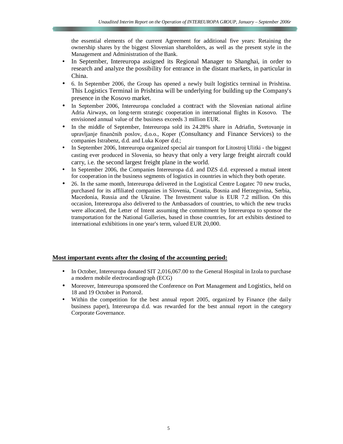the essential elements of the current Agreement for additional five years: Retaining the ownership shares by the biggest Slovenian shareholders, as well as the present style in the Management and Administration of the Bank.

- In September, Intereuropa assigned its Regional Manager to Shanghai, in order to research and analyze the possibility for entrance in the distant markets, in particular in China.
- 6. In September 2006, the Group has opened a newly built logistics terminal in Prishtina. This Logistics Terminal in Prishtina will be underlying for building up the Company's presence in the Kosovo market.
- In September 2006, Intereuropa concluded a contract with the Slovenian national airline Adria Airways, on long-term strategic cooperation in international flights in Kosovo. The envisioned annual value of the business exceeds 3 million EUR.
- In the middle of September, Intereuropa sold its 24.28% share in Adriafin, Svetovanje in upravljanje finančnih poslov, d.o.o., Koper (Consultancy and Finance Services) to the companies Istrabenz, d.d. and Luka Koper d.d.;
- In September 2006, Intereuropa organized special air transport for Litostroj Ulitki the biggest casting ever produced in Slovenia, so heavy that only a very large freight aircraft could carry, i.e. the second largest freight plane in the world.
- In September 2006, the Companies Intereuropa d.d. and DZS d.d. expressed a mutual intent for cooperation in the business segments of logistics in countries in which they both operate.
- 26. In the same month, Intereuropa delivered in the Logistical Centre Logatec 70 new trucks, purchased for its affiliated companies in Slovenia, Croatia, Bosnia and Herzegovina, Serbia, Macedonia, Russia and the Ukraine. The Investment value is EUR 7.2 million. On this occasion, Intereuropa also delivered to the Ambassadors of countries, to which the new trucks were allocated, the Letter of Intent assuming the commitment by Intereuropa to sponsor the transportation for the National Galleries, based in those countries, for art exhibits destined to international exhibitions in one year's term, valued EUR 20,000.

#### **Most important events after the closing of the accounting period:**

- In October, Intereuropa donated SIT 2,016,067.00 to the General Hospital in Izola to purchase a modern mobile electrocardiograph (ECG)
- Moreover, Intereuropa sponsored the Conference on Port Management and Logistics, held on 18 and 19 October in Portorož.
- Within the competition for the best annual report 2005, organized by Finance (the daily business paper), Intereuropa d.d. was rewarded for the best annual report in the category Corporate Governance.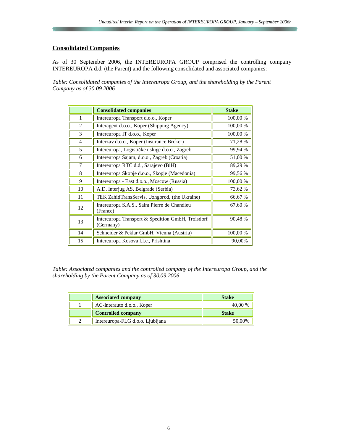## **Consolidated Companies**

As of 30 September 2006, the INTEREUROPA GROUP comprised the controlling company INTEREUROPA d.d. (the Parent) and the following consolidated and associated companies:

*Table: Consolidated companies of the Intereuropa Group, and the shareholding by the Parent Company as of 30.09.2006* 

|                | <b>Consolidated companies</b>                                  | <b>Stake</b> |
|----------------|----------------------------------------------------------------|--------------|
| 1              | Intereuropa Transport d.o.o., Koper                            | 100,00 %     |
| $\overline{2}$ | Interagent d.o.o., Koper (Shipping Agency)                     | 100,00 %     |
| 3              | Intereuropa IT d.o.o., Koper                                   | 100,00 %     |
| 4              | Interzav d.o.o., Koper (Insurance Broker)                      | 71,28 %      |
| 5              | Intereuropa, Logističke usluge d.o.o., Zagreb                  | 99,94 %      |
| 6              | Intereuropa Sajam, d.o.o., Zagreb (Croatia)                    | 51,00 %      |
| 7              | Intereuropa RTC d.d., Sarajevo (BiH)                           | 89,29 %      |
| 8              | Intereuropa Skopje d.o.o., Skopje (Macedonia)                  | 99,56%       |
| 9              | Intereuropa - East d.o.o., Moscow (Russia)                     | 100,00 %     |
| 10             | A.D. Interjug AS, Belgrade (Serbia)                            | 73,62 %      |
| 11             | TEK ZahidTransServis, Uzhgorod, (the Ukraine)                  | 66,67 %      |
| 12             | Intereuropa S.A.S., Saint Pierre de Chandieu<br>(France)       | 67,60 %      |
| 13             | Intereuropa Transport & Spedition GmbH, Troisdorf<br>(Germany) | 90,48 %      |
| 14             | Schneider & Peklar GmbH, Vienna (Austria)                      | 100,00 %     |
| 15             | Intereuropa Kosova 1.1.c., Prishtina                           | 90,00%       |

*Table: Associated companies and the controlled company of the Intereuropa Group, and the shareholding by the Parent Company as of 30.09.2006* 

| <b>Associated company</b>        | <b>Stake</b> |
|----------------------------------|--------------|
| AC-Interauto d.o.o., Koper       | 40,00 %      |
| <b>Controlled company</b>        | <b>Stake</b> |
| Intereuropa-FLG d.o.o. Liubliana | 50,00%       |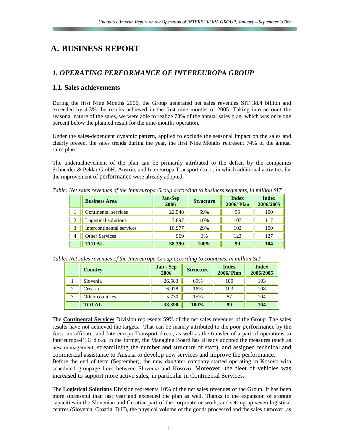# **A. BUSINESS REPORT**

## *1. OPERATING PERFORMANCE OF INTEREUROPA GROUP*

## **1.1. Sales achievements**

During the first Nine Months 2006, the Group generated net sales revenues SIT 38.4 billion and exceeded by 4.3% the results achieved in the first nine months of 2005. Taking into account the seasonal nature of the sales, we were able to realize 73% of the annual sales plan, which was only one percent below the planned result for the nine-months operation.

Under the sales-dependent dynamic pattern, applied to exclude the seasonal impact on the sales and clearly present the sales trends during the year, the first Nine Months represent 74% of the annual sales plan.

The underachievement of the plan can be primarily attributed to the deficit by the companies Schneider & Peklar GmbH, Austria, and Intereuropa Transport d.o.o., in which additional activities for the improvement of performance were already adopted.

| <b>Business Area</b>      | <b>Jan-Sep</b><br>2006 | <b>Structure</b> | <b>Index</b><br><b>2006/Plan</b> | <b>Index</b><br>2006/2005 |
|---------------------------|------------------------|------------------|----------------------------------|---------------------------|
| Continental services      | 22.548                 | 59%              | 95                               | 100                       |
| Logistical solutions      | 3.897                  | 10%              | 107                              | 117                       |
| Intercontinental services | 10.977                 | 29%              | 102                              | 109                       |
| <b>Other Services</b>     | 969                    | 3%               | 123                              | 127                       |
| <b>TOTAL</b>              | 38.390                 | 100%             | 99                               | 104                       |

*Table: Net sales revenues of the Intereuropa Group according to business segments, in million SIT* 

| Table: Net sales revenues of the Intereuropa Group according to countries, in million SIT |  |  |
|-------------------------------------------------------------------------------------------|--|--|
|-------------------------------------------------------------------------------------------|--|--|

|        | <b>Country</b>  | <b>Jan - Sep</b><br>2006 | <b>Structure</b> | <b>Index</b><br><b>2006/Plan</b> | <b>Index</b><br>2006/2005 |
|--------|-----------------|--------------------------|------------------|----------------------------------|---------------------------|
|        | Slovenia        | 26.583                   | 69%              | 100                              | 103                       |
| ◠<br>∠ | Croatia         | 6.078                    | 16%              | 103                              | 108                       |
| 3      | Other countries | 5.730                    | 15%              | 87                               | 104                       |
|        | <b>TOTAL</b>    | 38.390                   | 100%             | 99                               | 104                       |

The **Continental Services** Division represents 59% of the net sales revenues of the Group. The sales results have not achieved the targets. That can be mainly attributed to the poor performance by the Austrian affiliate, and Intereuropa Transport d.o.o., as well as the transfer of a part of operations to Intereuropa-FLG d.o.o. In the former, the Managing Board has already adopted the measures (such as new management, streamlining the number and structure of staff), and assigned technical and commercial assistance to Austria to develop new services and improve the performance.

Before the end of term (September), the new daughter company started operating in Kosovo with scheduled groupage lines between Slovenia and Kosovo. Moreover, the fleet of vehicles was increased to support more active sales, in particular in Continental Services.

The **Logistical Solutions** Division represents 10% of the net sales revenues of the Group. It has been more successful than last year and exceeded the plan as well. Thanks to the expansion of storage capacities in the Slovenian and Croatian part of the corporate network, and setting up seven logistical centres (Slovenia, Croatia, BiH), the physical volume of the goods processed and the sales turnover, as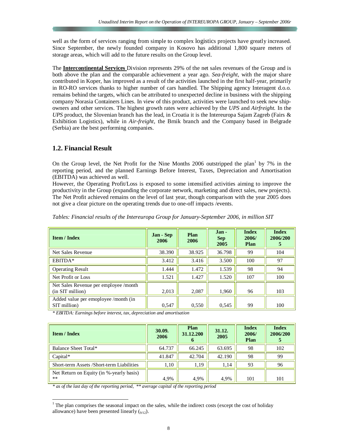well as the form of services ranging from simple to complex logistics projects have greatly increased. Since September, the newly founded company in Kosovo has additional 1,800 square meters of storage areas, which will add to the future results on the Group level.

The **Intercontinental Services** Division represents 29% of the net sales revenues of the Group and is both above the plan and the comparable achievement a year ago. *Sea-freight*, with the major share contributed in Koper, has improved as a result of the activities launched in the first half-year, primarily in RO-RO services thanks to higher number of cars handled. The Shipping agency Interagent d.o.o. remains behind the targets, which can be attributed to unexpected decline in business with the shipping company Norasia Containers Lines. In view of this product, activities were launched to seek new shipowners and other services. The highest growth rates were achieved by the *UPS* and *Airfreight.* In the *UPS* product, the Slovenian branch has the lead, in Croatia it is the Intereuropa Sajam Zagreb (Fairs & Exhibition Logistics), while in *Air-freight*, the Brnik branch and the Company based in Belgrade (Serbia) are the best performing companies.

## **1.2. Financial Result**

On the Group level, the Net Profit for the Nine Months 2006 outstripped the plan<sup>1</sup> by 7% in the reporting period, and the planned Earnings Before Interest, Taxes, Depreciation and Amortisation (EBITDA) was achieved as well.

However, the Operating Profit/Loss is exposed to some intensified activities aiming to improve the productivity in the Group (expanding the corporate network, marketing and direct sales, new projects). The Net Profit achieved remains on the level of last year, though comparison with the year 2005 does not give a clear picture on the operating trends due to one-off impacts /events.

| <b>Item / Index</b>                                       | Jan - Sep<br>2006 | <b>Plan</b><br>2006 | Jan-<br><b>Sep</b><br>2005 | <b>Index</b><br>2006/<br>Plan | <b>Index</b><br>2006/200<br>5 |
|-----------------------------------------------------------|-------------------|---------------------|----------------------------|-------------------------------|-------------------------------|
| Net Sales Revenue                                         | 38.390            | 38.925              | 36.798                     | 99                            | 104                           |
| EBITDA*                                                   | 3.412             | 3.416               | 3.500                      | 100                           | 97                            |
| <b>Operating Result</b>                                   | 1.444             | 1.472               | 1.539                      | 98                            | 94                            |
| Net Profit or Loss                                        | 1.521             | 1.427               | 1.520                      | 107                           | 100                           |
| Net Sales Revenue per employee /month<br>(in SIT million) | 2,013             | 2,087               | 1.960                      | 96                            | 103                           |
| Added value per emoployee /month (in<br>SIT million)      | 0,547             | 0,550               | 0.545                      | 99                            | 100                           |

*Tables: Financial results of the Intereuropa Group for January-September 2006, in million SIT* 

*\* EBITDA: Earnings before interest, tax, depreciation and amortisation* 

| <b>Item / Index</b>                              | 30.09.<br>2006 | Plan<br>31.12.200<br>o | 31.12.<br>2005 | <b>Index</b><br>2006/<br><b>Plan</b> | <b>Index</b><br>2006/200 |
|--------------------------------------------------|----------------|------------------------|----------------|--------------------------------------|--------------------------|
| Balance Sheet Total*                             | 64.737         | 66.245                 | 63.695         | 98                                   | 102                      |
| $Capital*$                                       | 41.847         | 42.704                 | 42.190         | 98                                   | 99                       |
| Short-term Assets /Short-term Liabilities        | 1,10           | 1,19                   | 1,14           | 93                                   | 96                       |
| Net Return on Equity (in %-yearly basis)<br>$**$ | 4,9%           | 4,9%                   | 4.9%           | 101                                  | 101                      |

*\* as of the last day of the reporting period, \*\* average capital of the reporting period* 

 $\frac{1}{1}$  The plan comprises the seasonal impact on the sales, while the indirect costs (except the cost of holiday allowance) have been presented linearly  $(q_{12})$ .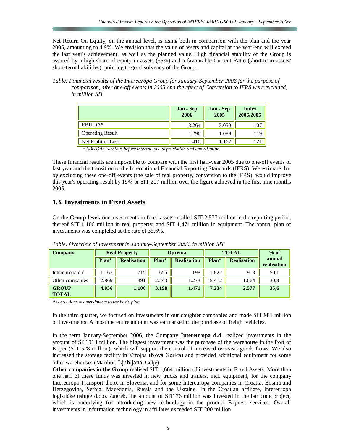Net Return On Equity, on the annual level, is rising both in comparison with the plan and the year 2005, amounting to 4.9%. We envision that the value of assets and capital at the year-end will exceed the last year's achievement, as well as the planned value. High financial stability of the Group is assured by a high share of equity in assets (65%) and a favourable Current Ratio (short-term assets/ short-term liabilities), pointing to good solvency of the Group.

*Table: Financial results of the Intereuropa Group for January-September 2006 for the purpose of comparison, after one-off events in 2005 and the effect of Conversion to IFRS were excluded, in million SIT* 

|                         | Jan - Sep<br>2006 | Jan - Sep<br>2005 | <b>Index</b><br>2006/2005 |
|-------------------------|-------------------|-------------------|---------------------------|
| EBITDA*                 | 3.264             | 3.050             | 107                       |
| <b>Operating Result</b> | 1.296             | 1.089             | 119                       |
| Net Profit or Loss      | 1.410             | .167              |                           |

 *\* EBITDA: Earnings before interest, tax, depreciation and amortisation* 

These financial results are impossible to compare with the first half-year 2005 due to one-off events of last year and the transition to the International Financial Reporting Standards (IFRS). We estimate that by excluding these one-off events (the sale of real property, conversion to the IFRS), would improve this year's operating result by 19% or SIT 207 million over the figure achieved in the first nine months 2005.

## **1.3. Investments in Fixed Assets**

On the **Group level,** our investments in fixed assets totalled SIT 2,577 million in the reporting period, thereof SIT 1,106 million in real property, and SIT 1,471 million in equipment. The annual plan of investments was completed at the rate of 35.6%.

| <b>Company</b>               | <b>Real Property</b> |                    | <b>Oprema</b> |                    | <b>TOTAL</b> | $%$ of             |                       |
|------------------------------|----------------------|--------------------|---------------|--------------------|--------------|--------------------|-----------------------|
|                              | Plan*                | <b>Realisation</b> | Plan*         | <b>Realisation</b> | Plan*        | <b>Realisation</b> | annual<br>realisation |
| Intereuropa d.d.             | .167                 | 715                | 655           | 198                | 1.822        | 913                | 50,1                  |
| Other companies              | 2.869                | 391                | 2.543         | 1.273              | 5.412        | 1.664              | 30,8                  |
| <b>GROUP</b><br><b>TOTAL</b> | 4.036                | 1.106              | 3.198         | 1.471              | 7.234        | 2.577              | 35,6                  |

*Table: Overview of Investment in January-September 2006, in million SIT* 

*\* corrections = amendments to the basic plan* 

In the third quarter, we focused on investments in our daughter companies and made SIT 981 million of investments. Almost the entire amount was earmarked to the purchase of freight vehicles.

In the term January-September 2006, the Company **Intereuropa d.d**. realized investments in the amount of SIT 913 million. The biggest investment was the purchase of the warehouse in the Port of Koper (SIT 528 million), which will support the control of increased overseas goods flows. We also increased the storage facility in Vrtojba (Nova Gorica) and provided additional equipment for some other warehouses (Maribor, Ljubljana, Celje).

**Other companies in the Group** realised SIT 1,664 million of investments in Fixed Assets. More than one half of these funds was invested in new trucks and trailers, incl. equipment, for the company Intereuropa Transport d.o.o. in Slovenia, and for some Intereuropa companies in Croatia, Bosnia and Herzegovina, Serbia, Macedonia, Russia and the Ukraine. In the Croatian affiliate, Intereuropa logističke usluge d.o.o. Zagreb, the amount of SIT 76 million was invested in the bar code project, which is underlying for introducing new technology in the product Express services. Overall investments in information technology in affiliates exceeded SIT 200 million.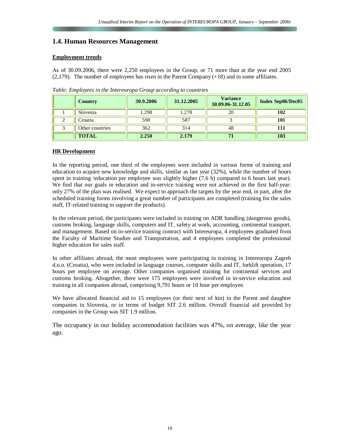## **1.4. Human Resources Management**

#### **Employment trends**

As of 30.09.2006, there were 2,250 employees in the Group, or 71 more than at the year end 2005  $(2,179)$ . The number of employees has risen in the Parent Company  $(+18)$  and in some affiliates.

| <b>Country</b>  | 30.9.2006 | 31.12.2005 | <b>Variance</b><br>30.09.06-31.12.05 | <b>Index Sep06/Dec05</b> |
|-----------------|-----------|------------|--------------------------------------|--------------------------|
| Slovenia        | 1.298     | 1.278      | 20                                   | 102                      |
| Croatia         | 590       | 587        |                                      | 101                      |
| Other countries | 362       | 314        | 48                                   |                          |
| <b>TOTAL</b>    | 2.250     | 2.179      |                                      | 103                      |

*Table: Employees in the Intereuropa Group according to countries*

#### **HR Development**

In the reporting period, one third of the employees were included in various forms of training and education to acquire new knowledge and skills, similar as last year (32%), while the number of hours spent in training /education per employee was slightly higher (7.6 h) compared to 6 hours last year). We find that our goals in education and in-service training were not achieved in the first half-year: only 27% of the plan was realised. We expect to approach the targets by the year end, in part, after the scheduled training forms involving a great number of participants are completed (training for the sales staff, IT-related training to support the products).

In the relevant period, the participants were included in training on ADR handling (dangerous goods), customs broking, language skills, computers and IT, safety at work, accounting, continental transport, and management. Based on in-service training contract with Intereuropa, 4 employees graduated from the Faculty of Maritime Studies and Transportation, and 4 employees completed the professional higher education for sales staff.

In other affiliates abroad, the most employees were participating in training in Intereuropa Zagreb d.o.o. (Croatia), who were included in language courses, computer skills and IT, forklift operation, 17 hours per employee on average. Other companies organised training for continental services and customs broking. Altogether, there were 175 employees were involved in in-service education and training in all companies abroad, comprising 9,791 hours or 10 hour per employee.

We have allocated financial aid to 15 employees (or their next of kin) in the Parent and daughter companies in Slovenia, or in terms of budget SIT 2.6 million. Overall financial aid provided by companies in the Group was SIT 1.9 million.

The occupancy in our holiday accommodation facilities was 47%, on average, like the year ago.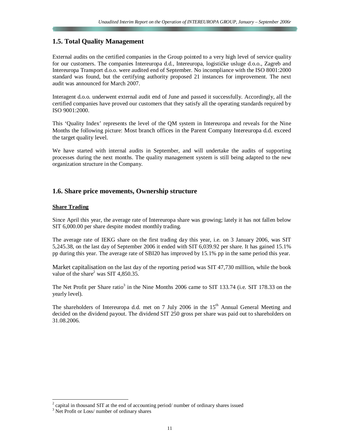## **1.5. Total Quality Management**

External audits on the certified companies in the Group pointed to a very high level of service quality for our customers. The companies Intereuropa d.d., Intereuropa, logističke usluge d.o.o., Zagreb and Intereuropa Transport d.o.o. were audited end of September. No incompliance with the ISO 8001:2000 standard was found, but the certifying authority proposed 21 instances for improvement. The next audit was announced for March 2007.

Interagent d.o.o. underwent external audit end of June and passed it successfully. Accordingly, all the certified companies have proved our customers that they satisfy all the operating standards required by ISO 9001:2000.

This 'Quality Index' represents the level of the QM system in Intereuropa and reveals for the Nine Months the following picture: Most branch offices in the Parent Company Intereuropa d.d. exceed the target quality level.

We have started with internal audits in September, and will undertake the audits of supporting processes during the next months. The quality management system is still being adapted to the new organization structure in the Company.

## **1.6. Share price movements, Ownership structure**

#### **Share Trading**

Since April this year, the average rate of Intereuropa share was growing; lately it has not fallen below SIT 6,000.00 per share despite modest monthly trading.

The average rate of IEKG share on the first trading day this year, i.e. on 3 January 2006, was SIT 5,245.38, on the last day of September 2006 it ended with SIT 6,039.92 per share. It has gained 15.1% pp during this year. The average rate of SBI20 has improved by 15.1% pp in the same period this year.

Market capitalisation on the last day of the reporting period was SIT 47,730 milllion, while the book value of the share<sup>2</sup> was SIT 4,850.35.

The Net Profit per Share ratio<sup>3</sup> in the Nine Months 2006 came to SIT 133.74 (i.e. SIT 178.33 on the yearly level).

The shareholders of Intereuropa d.d. met on 7 July 2006 in the  $15<sup>th</sup>$  Annual General Meeting and decided on the dividend payout. The dividend SIT 250 gross per share was paid out to shareholders on 31.08.2006.

-

 $2^2$  capital in thousand SIT at the end of accounting period/ number of ordinary shares issued

<sup>&</sup>lt;sup>3</sup> Net Profit or Loss/ number of ordinary shares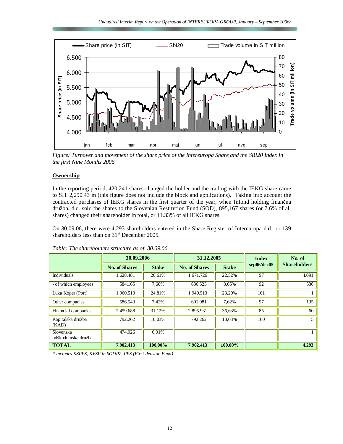

*Figure: Turnover and movement of the share price of the Intereuropa Share and the SBI20 Index in the first Nine Months 2006* 

#### **Ownership**

In the reporting period, 420,241 shares changed the holder and the trading with the IEKG share came to SIT 2,290.43 m (this figure does not include the block and applications). Taking into account the contracted purchases of IEKG shares in the first quarter of the year, when Infond holding finančna družba, d.d. sold the shares to the Slovenian Restitution Fund (SOD), 895,167 shares (or 7.6% of all shares) changed their shareholder in total, or 11.33% of all IEKG shares.

On 30.09.06, there were 4,293 shareholders entered in the Share Register of Intereuropa d.d., or 139 shareholders less than on  $31<sup>st</sup>$  December 2005.

|                                  | 30.09.2006           |              | 31.12.2005           |              | <b>Index</b> | No. of              |  |  |
|----------------------------------|----------------------|--------------|----------------------|--------------|--------------|---------------------|--|--|
|                                  | <b>No. of Shares</b> | <b>Stake</b> | <b>No. of Shares</b> | <b>Stake</b> | sep06/dec05  | <b>Shareholders</b> |  |  |
| <b>Individuals</b>               | 1.628.481            | 20.61%       | 1.671.726            | 22,52%       | 97           | 4.091               |  |  |
| - of which employees             | 584.165              | 7.60%        | 636.525              | 8,05%        | 92           | 536                 |  |  |
| Luka Koper (Port)                | 1.960.513            | 24,81%       | 1.940.513            | 23,20%       | 101          |                     |  |  |
| Other companies                  | 586.543              | 7,42%        | 601.981              | 7,62%        | 97           | 135                 |  |  |
| Financial companies              | 2.459.688            | 31,12%       | 2.895.931            | 36,63%       | 85           | 60                  |  |  |
| Kapitalska družba<br>(KAD)       | 792.262              | 10.03%       | 792.262              | 10.03%       | 100          | 5                   |  |  |
| Slovenska<br>odškodninska družba | 474.926              | 6.01%        |                      |              |              |                     |  |  |
| <b>TOTAL</b>                     | 7.902.413            | 100,00%      | 7.902.413            | 100,00%      |              | 4.293               |  |  |

*Table: The shareholders structure as of 30.09.06* 

*\* Includes KSPPS, KVSP in SODPZ, PPS (First Pension Fund)*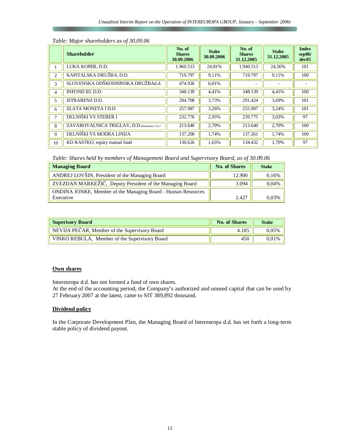|    | <b>Shareholder</b>                         | No. of<br><b>Shares</b><br>30.09.2006 | <b>Stake</b><br>30.09.2006 | No. of<br><b>Shares</b><br>31.12.2005 | <b>Stake</b><br>31.12.2005 | <b>Index</b><br>sep06/<br>dec <sub>05</sub> |
|----|--------------------------------------------|---------------------------------------|----------------------------|---------------------------------------|----------------------------|---------------------------------------------|
|    | LUKA KOPER, D.D.                           | 1.960.513                             | 24,81%                     | 1.940.513                             | 24,56%                     | 101                                         |
| 2  | KAPITALSKA DRUŽBA, D.D.                    | 719.797                               | 9,11%                      | 719.797                               | 9,11%                      | 100                                         |
| 3  | SLOVENSKA ODŠKODNINSKA DRUŽBAd.d.          | 474.926                               | 6,01%                      |                                       |                            |                                             |
| 4  | INFOND ID, D.D.                            | 348.139                               | 4,41%                      | 348.139                               | 4,41%                      | 100                                         |
| 5  | <b>ISTRABENZ D.D.</b>                      | 294.708                               | 3,73%                      | 291.424                               | 3.69%                      | 101                                         |
| 6  | ZLATA MONETA I D.D.                        | 257.987                               | 3,26%                      | 255.987                               | 3,24%                      | 101                                         |
|    | DELNIŠKI VS STEBER I                       | 232.776                               | 2,95%                      | 239,775                               | 3,03%                      | 97                                          |
| 8  | ZAVAROVALNICA TRIGLAV, D.D (Insurance Co.) | 213.640                               | 2,70%                      | 213.640                               | 2,70%                      | 100                                         |
| 9  | DELNIŠKI VS MODRA LINIJA                   | 137.200                               | 1,74%                      | 137.261                               | 1,74%                      | 100                                         |
| 10 | KD RASTKO, equity mutual fund              | 130.626                               | 1,65%                      | 134.432                               | 1,70%                      | 97                                          |

#### *Table: Major shareholders as of 30.09.06*

*Table: Shares held by members of Management Board and Supervisory Board, as of 30.09.06* 

| <b>Managing Board</b>                                                            | <b>No. of Shares</b> | <b>Stake</b> |
|----------------------------------------------------------------------------------|----------------------|--------------|
| ANDREJ LOVŠIN, President of the Managing Board                                   | 12.900               | 0.16%        |
| ZVEZDAN MARKEŽIČ, Deputy President of the Managing Board                         | 3.094                | 0.04%        |
| <b>ONDINA JONKE, Member of the Managing Board - Human Resources</b><br>Executive | 2.427                | 0.03%        |

| <b>Superisory Board</b>                       | <b>No. of Shares</b> | <b>Stake</b> |
|-----------------------------------------------|----------------------|--------------|
| NEVIJA PEČAR, Member of the Supervisory Board | 4.185                | 0.05%        |
| VINKO REBULA, Member of the Supervisory Board | 450                  | 0.01%        |

## **Own shares**

Intereuropa d.d. has not formed a fund of own shares.

At the end of the accounting period, the Company's authorized and unused capital that can be used by 27 February 2007 at the latest, came to SIT 389,892 thousand.

## **Dividend policy**

In the Corporate Development Plan, the Managing Board of Intereuropa d.d. has set forth a long-term stable policy of dividend payout.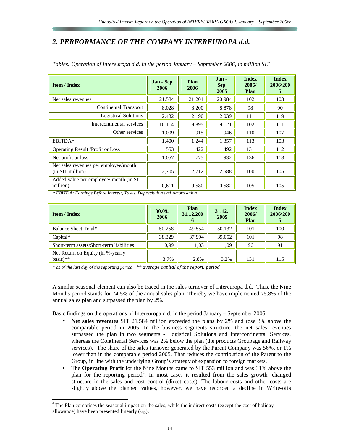## *2. PERFORMANCE OF THE COMPANY INTEREUROPA d.d.*

| <b>Item / Index</b>                                       | Jan - Sep<br>2006 | Plan<br>2006 | Jan-<br><b>Sep</b><br>2005 | <b>Index</b><br>2006/<br><b>Plan</b> | <b>Index</b><br>2006/200<br>5 |
|-----------------------------------------------------------|-------------------|--------------|----------------------------|--------------------------------------|-------------------------------|
| Net sales revenues                                        | 21.584            | 21.201       | 20.984                     | 102                                  | 103                           |
| <b>Continental Transport</b>                              | 8.028             | 8.200        | 8.878                      | 98                                   | 90                            |
| <b>Logistical Solutions</b>                               | 2.432             | 2.190        | 2.039                      | 111                                  | 119                           |
| Intercontinental services                                 | 10.114            | 9.895        | 9.121                      | 102                                  | 111                           |
| Other services                                            | 1.009             | 915          | 946                        | 110                                  | 107                           |
| EBITDA*                                                   | 1.400             | 1.244        | 1.357                      | 113                                  | 103                           |
| <b>Operating Result /Profit or Loss</b>                   | 553               | 422          | 492                        | 131                                  | 112                           |
| Net profit or loss                                        | 1.057             | 775          | 932                        | 136                                  | 113                           |
| Net sales revenues per employee/month<br>(in SIT million) | 2,705             | 2,712        | 2,588                      | 100                                  | 105                           |
| Added value per employee/ month (in SIT)<br>million)      | 0,611             | 0,580        | 0,582                      | 105                                  | 105                           |

*Tables: Operation of Intereuropa d.d. in the period January – September 2006, in million SIT* 

*\* EBITDA: Earnings Before Interest, Taxes, Depreciation and Amortisation* 

| <b>Item / Index</b>                                        | 30.09.<br>2006 | Plan<br>31.12.200<br>o | 31.12.<br>2005 | <b>Index</b><br>2006/<br>Plan | <b>Index</b><br>2006/200<br>$\mathbf{C}$ |
|------------------------------------------------------------|----------------|------------------------|----------------|-------------------------------|------------------------------------------|
| Balance Sheet Total*                                       | 50.258         | 49.554                 | 50.132         | 101                           | 100                                      |
| $Capital*$                                                 | 38.329         | 37.994                 | 39.052         | 101                           | 98                                       |
| Short-term assets/Short-term liabilities                   | 0.99           | 1,03                   | 1,09           | 96                            | 91                                       |
| Net Return on Equity (in %-yearly<br>$basis$ <sup>**</sup> | 3.7%           | 2,8%                   | 3,2%           | 131                           | 115                                      |

*\* as of the last day of the reporting period \*\* average capital of the report. period*

A similar seasonal element can also be traced in the sales turnover of Intereuropa d.d. Thus, the Nine Months period stands for 74.5% of the annual sales plan. Thereby we have implemented 75.8% of the annual sales plan and surpassed the plan by 2%.

Basic findings on the operations of Intereuropa d.d. in the period January – September 2006:

- **Net sales revenues** SIT 21,584 million exceeded the plans by 2% and rose 3% above the comparable period in 2005. In the business segments structure, the net sales revenues surpassed the plan in two segments - Logistical Solutions and Intercontinental Services, whereas the Continental Services was 2% below the plan (the products Groupage and Railway services). The share of the sales turnover generated by the Parent Company was 56%, or 1% lower than in the comparable period 2005. That reduces the contribution of the Parent to the Group, in line with the underlying Group's strategy of expansion to foreign markets.
- The **Operating Profit** for the Nine Months came to SIT 553 million and was 31% above the plan for the reporting period<sup>4</sup>. In most cases it resulted from the sales growth, changed structure in the sales and cost control (direct costs). The labour costs and other costs are slightly above the planned values, however, we have recorded a decline in Write-offs

The Plan comprises the seasonal impact on the sales, while the indirect costs (except the cost of holiday allowance) have been presented linearly  $(q_{12})$ .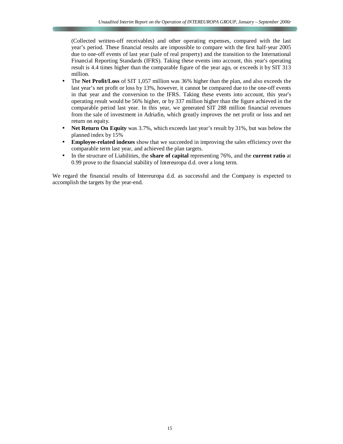(Collected written-off receivables) and other operating expenses, compared with the last year's period. These financial results are impossible to compare with the first half-year 2005 due to one-off events of last year (sale of real property) and the transition to the International Financial Reporting Standards (IFRS). Taking these events into account, this year's operating result is 4.4 times higher than the comparable figure of the year ago, or exceeds it by SIT 313 million.

- The **Net Profit/Loss** of SIT 1,057 million was 36% higher than the plan, and also exceeds the last year's net profit or loss by 13%, however, it cannot be compared due to the one-off events in that year and the conversion to the IFRS. Taking these events into account, this year's operating result would be 56% higher, or by 337 million higher than the figure achieved in the comparable period last year. In this year, we generated SIT 288 million financial revenues from the sale of investment in Adriafin, which greatly improves the net profit or loss and net return on equity.
- **Net Return On Equity** was 3.7%, which exceeds last year's result by 31%, but was below the planned index by 15%
- **Employee-related indexes** show that we succeeded in improving the sales efficiency over the comparable term last year, and achieved the plan targets.
- In the structure of Liabilities, the **share of capital** representing 76%, and the **current ratio** at 0.99 prove to the financial stability of Intereuropa d.d. over a long term.

We regard the financial results of Intereuropa d.d. as successful and the Company is expected to accomplish the targets by the year-end.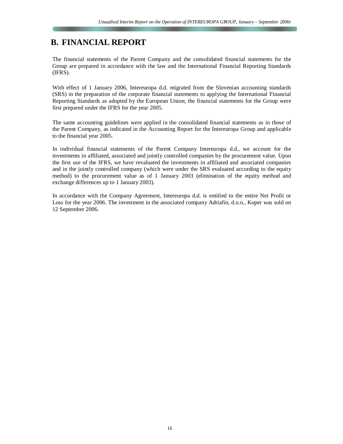## **B. FINANCIAL REPORT**

The financial statements of the Parent Company and the consolidated financial statements for the Group are prepared in accordance with the law and the International Financial Reporting Standards (IFRS).

With effect of 1 January 2006, Intereuropa d.d. migrated from the Slovenian accounting standards (SRS) in the preparation of the corporate financial statements to applying the International Financial Reporting Standards as adopted by the European Union; the financial statements for the Group were first prepared under the IFRS for the year 2005.

The same accounting guidelines were applied in the consolidated financial statements as in those of the Parent Company, as indicated in the Accounting Report for the Intereuropa Group and applicable to the financial year 2005.

In individual financial statements of the Parent Company Intereuropa d.d., we account for the investments in affiliated, associated and jointly controlled companies by the procurement value. Upon the first use of the IFRS, we have revaluated the investments in affiliated and associated companies and in the jointly controlled company (which were under the SRS evaluated according to the equity method) to the procurement value as of 1 January 2003 (elimination of the equity method and exchange differences up to 1 January 2003).

In accordance with the Company Agreement, Intereuropa d.d. is entitled to the entire Net Profit or Loss for the year 2006. The investment in the associated company Adriafin, d.o.o., Koper was sold on 12 September 2006.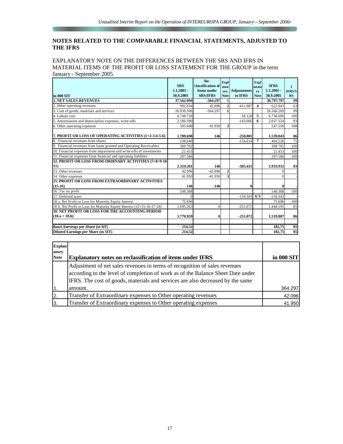## **NOTES RELATED TO THE COMPARABLE FINANCIAL STATEMENTS, ADJUSTED TO THE IFRS**

the company of the company of the company of

#### EXPLANATORY NOTE ON THE DIFFERENCES BETWEEN THE SRS AND IFRS IN MATERIAL ITEMS OF THE PROFIT OR LOSS STATEMENT FOR THE GROUP in the term January - September 2005

|                                                                        | <b>SRS</b><br>$1.1.2005 -$ | Re-<br>classification of<br>items under | <b>Expl</b><br>lanat<br>ory | <b>Adjustments</b> | Expl<br>anato<br>ry     | <b>IFRS</b><br>$1.1.2005 -$ | $\mathbf{I}$<br><b>IFRS/S</b> |
|------------------------------------------------------------------------|----------------------------|-----------------------------------------|-----------------------------|--------------------|-------------------------|-----------------------------|-------------------------------|
| in 000 SIT                                                             | 30.9.2005                  | <b>SRS/IFRS</b>                         | <b>Note</b>                 | to IFRS            | <b>Note</b>             | 30.9.2005                   | RS                            |
| <b>1. NET SALES REVENUES</b>                                           | 37.162.094                 | $-364.297$                              | 1                           |                    |                         | 36.797.797                  | 99                            |
| 2. Other operating revenues                                            | 992.834                    | 42.096                                  | $\overline{2}$              | $-411.987$         | $\overline{\mathbf{4}}$ | 622.943                     | 63                            |
| 3. Cost of goods, materials and services                               | 26.930.506                 | $-364.297$                              |                             |                    |                         | 26.566.209                  | 99                            |
| 4. Labour cost                                                         | 6.748.726                  |                                         |                             | $-18.120$          | 5                       | 6.730.606                   | 100                           |
| 5.<br>Amortisation and depreciation expenses, write-offs               | 2.180.390                  |                                         |                             | $-143.066$         | 6                       | 2.037.324                   | 93                            |
| 6. Other operating expenses                                            | 505.608                    | 41.950                                  | 3                           |                    |                         | 547.558                     | 108                           |
| 7. PROFIT OR LOSS OF OPERATING ACTIVITIES (1+2-3-4-5-6)                | 1.789.698                  | 146                                     |                             | $-250.801$         |                         | 1.539.043                   | 86                            |
| 8. Financial revenues from shares                                      | 538.840                    |                                         |                             | $-134.614$         | 7                       | 404.226                     | 75                            |
| 9. Financial revenues from loans granted and Operating Receivables     | 309.702                    |                                         |                             |                    |                         | 309.702                     | 100                           |
| 10. Financial expenses from impairment and write-offs of investments   | 21.453                     |                                         |                             |                    |                         | 21.453                      | 100                           |
| 11. Financial expenses from financial and operating liabilites         | 297.586                    |                                         |                             |                    |                         | 297.586                     | 100                           |
| 12. PROFIT OR LOSS FROM ORDINARY ACTIVITIES (7+8+9-10-                 |                            |                                         |                             |                    |                         |                             |                               |
| 11)                                                                    | 2.319.201                  | 146                                     |                             | $-385.415$         |                         | 1.933.932                   | 83                            |
| 13. Other revenues                                                     | 42.096                     | $-42.096$                               | $\overline{c}$              |                    |                         |                             |                               |
| 14. Other expenses                                                     | 41.950                     | $-41.950$                               | 3                           |                    |                         |                             |                               |
| <b>15. PROFIT OR LOSS FROM EXTRAORDINARY ACTIVITIES</b>                |                            |                                         |                             |                    |                         |                             |                               |
| $(15-16)$                                                              | 146                        | $-146$                                  |                             | 0                  |                         |                             |                               |
| 16. Tax on profit                                                      | 548.388                    |                                         |                             |                    |                         | 548.388                     | 100                           |
| 17. Deferred taxes                                                     | $\Omega$                   |                                         |                             | $-134.343$         | 8.9                     | $-134.343$                  |                               |
| 18 a. Net Profit or Loss for Minority Equity Interest                  | 75.696                     |                                         |                             |                    |                         | 75.696                      | 100                           |
| 18 b. Net Profit or Loss for Majority Equity Interest (12+15-16-17-18) | 1.695.263                  | $\Omega$                                |                             | $-251.072$         |                         | 1.444.191                   | 85                            |
| <b>18. NET PROFIT OR LOSS FOR THE ACCOUNTING PERIOD</b>                |                            |                                         |                             |                    |                         |                             |                               |
| $(18.a + 18.b)$                                                        | 1.770.959                  | $\mathbf{0}$                            |                             | $-251.072$         |                         | 1.519.887                   | 86                            |
| Basic Earnings per Share (in SIT)                                      | 214,52                     |                                         |                             |                    |                         | 182.75                      | 85                            |
| <b>Diluted Earnings per Share (in SIT)</b>                             | 214,52                     |                                         |                             |                    |                         | 182.75                      | 85                            |

| <b>Explan</b><br>atory |                                                                                                                                                                                                                                                 |            |
|------------------------|-------------------------------------------------------------------------------------------------------------------------------------------------------------------------------------------------------------------------------------------------|------------|
| <b>Note</b>            | <b>Explanatory notes on reclassification of items under IFRS</b>                                                                                                                                                                                | in 000 SIT |
|                        | Adjustment of net sales revenues in terms of recognition of sales revenues<br>according to the level of completion of work as of the Balance Sheet Date under<br>IFRS. The cost of goods, materials and services are also decreased by the same |            |
| $\overline{1}$ .       | amount.                                                                                                                                                                                                                                         | 364.297    |
| 2.                     | Transfer of Extraordinary expenses to Other operating revenues                                                                                                                                                                                  | 42.096     |
| Ιз.                    | Transfer of Extraordinary expenses to Other operating expenses                                                                                                                                                                                  | 41.950     |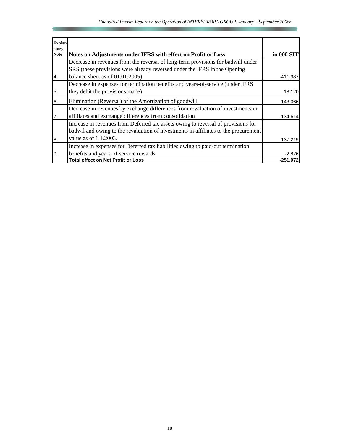| Explan<br>atory<br><b>Note</b> | Notes on Adjustments under IFRS with effect on Profit or Loss                       | in 000 SIT |
|--------------------------------|-------------------------------------------------------------------------------------|------------|
|                                | Decrease in revenues from the reversal of long-term provisions for badwill under    |            |
|                                |                                                                                     |            |
|                                | SRS (these provisions were already reversed under the IFRS in the Opening           |            |
| 4.                             | balance sheet as of 01.01.2005)                                                     | $-411.987$ |
|                                | Decrease in expenses for termination benefits and years-of-service (under IFRS      |            |
| 5.                             | they debit the provisions made)                                                     | 18.120     |
| 6.                             | Elimination (Reversal) of the Amortization of goodwill                              | 143.066    |
|                                | Decrease in revenues by exchange differences from revaluation of investments in     |            |
| 7.                             | affiliates and exchange differences from consolidation                              | $-134.614$ |
|                                | Increase in revenues from Deferred tax assets owing to reversal of provisions for   |            |
|                                | badwil and owing to the revaluation of investments in affiliates to the procurement |            |
| 8.                             | value as of 1.1.2003.                                                               | 137.219    |
|                                | Increase in expenses for Deferred tax liabilities owing to paid-out termination     |            |
| 9.                             | benefits and years-of-service rewards                                               | $-2.876$   |
|                                | <b>Total effect on Net Profit or Loss</b>                                           | $-251.072$ |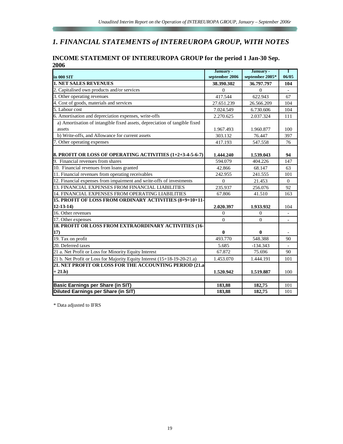# *1. FINANCIAL STATEMENTS of INTEREUROPA GROUP, WITH NOTES*

| <b>INCOME STATEMENT OF INTEREUROPA GROUP for the period 1 Jan-30 Sep.</b> |  |
|---------------------------------------------------------------------------|--|
| 2006                                                                      |  |

|                                                                            | January -      | January -       | Τ                        |
|----------------------------------------------------------------------------|----------------|-----------------|--------------------------|
| in 000 SIT                                                                 | september 2006 | september 2005* | 06/05                    |
| <b>1. NET SALES REVENUES</b>                                               | 38.390.302     | 36.797.797      | 104                      |
| 2. Capitalised own products and/or services                                | $\Omega$       | $\Omega$        |                          |
| 3. Other operating revenues                                                | 417.544        | 622.943         | 67                       |
| 4. Cost of goods, materials and services                                   | 27.651.239     | 26.566.209      | 104                      |
| 5. Labour cost                                                             | 7.024.549      | 6.730.606       | 104                      |
| 6. Amortisation and depreciation expenses, write-offs                      | 2.270.625      | 2.037.324       | 111                      |
| a) Amortisation of intangible fixed assets, depreciation of tangible fixed |                |                 |                          |
| assets                                                                     | 1.967.493      | 1.960.877       | 100                      |
| b) Write-offs, and Allowance for current assets                            | 303.132        | 76.447          | 397                      |
| 7. Other operating expenses                                                | 417.193        | 547.558         | 76                       |
| 8. PROFIT OR LOSS OF OPERATING ACTIVITIES (1+2+3-4-5-6-7)                  | 1.444.240      | 1.539.043       | 94                       |
| 9. Financial revenues from shares                                          | 594.079        | 404.226         | 147                      |
| 10. Financial revenues from loans granted                                  | 42.866         | 68.147          | 63                       |
| 11. Financial revenues from operating receivables                          | 242.955        | 241.555         | 101                      |
| 12. Financial expenses from impairment and write-offs of investments       | $\mathbf{0}$   | 21.453          | $\mathbf{0}$             |
| 13. FINANCIAL EXPENSES FROM FINANCIAL LIABILITIES                          | 235.937        | 256.076         | 92                       |
| 14. FINANCIAL EXPENSES FROM OPERATING LIABILITIES                          | 67.806         | 41.510          | 163                      |
| 15. PROFIT OF LOSS FROM ORDINARY ACTIVITIES (8+9+10+11-                    |                |                 |                          |
| $12 - 13 - 14$                                                             | 2.020.397      | 1.933.932       | 104                      |
| 16. Other revenues                                                         | $\Omega$       | $\Omega$        |                          |
| 17. Other expenses                                                         | $\theta$       | $\theta$        |                          |
| 18. PROFIT OR LOSS FROM EXTRAORDINARY ACTIVITIES (16-                      |                |                 |                          |
| 17)                                                                        | $\bf{0}$       | 0               |                          |
| 19. Tax on profit                                                          | 493.770        | 548.388         | 90                       |
| 20. Deferred taxes                                                         | 5.685          | $-134.343$      | $\overline{\phantom{a}}$ |
| 21 a. Net Profit or Loss for Minority Equity Interest                      | 67.872         | 75.696          | 90                       |
| 21 b. Net Profit or Loss for Majority Equity Interest (15+18-19-20-21.a)   | 1.453.070      | 1.444.191       | 101                      |
| 21. NET PROFIT OR LOSS FOR THE ACCOUNTING PERIOD (21.a                     |                |                 |                          |
| $+21.b)$                                                                   | 1.520.942      | 1.519.887       | 100                      |
|                                                                            |                |                 |                          |
| <b>Basic Earnings per Share (in SIT)</b>                                   | 183,88         | 182,75          | 101                      |
| <b>Diluted Earnings per Share (in SIT)</b>                                 | 183,88         | 182,75          | 101                      |

\* Data adjusted to IFRS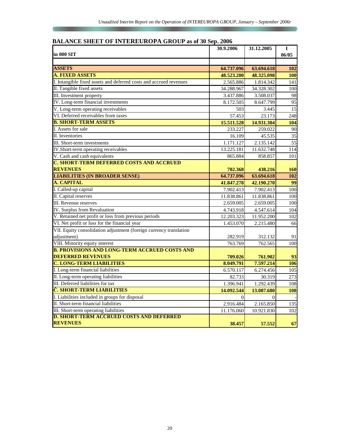## **BALANCE SHEET OF INTEREUROPA GROUP as of 30 Sep. 2006**

|                                                                    | 30.9.2006  | 31.12.2005 | I          |
|--------------------------------------------------------------------|------------|------------|------------|
| in 000 SIT                                                         |            |            | 06/05      |
|                                                                    |            |            |            |
| <b>ASSETS</b>                                                      | 64.737.096 | 63.694.618 | 102        |
| <b>A. FIXED ASSETS</b>                                             | 48.523.200 | 48.325.098 | <b>100</b> |
| I. Intangible fixed assets and deferred costs and accrued revenues | 2.565.886  | 1.814.342  | 141        |
| II. Tangible fixed assets                                          | 34.288.967 | 34.328.302 | 100        |
| III. Investment property                                           | 3.437.886  | 3.508.037  | 98         |
| IV. Long-term financial investments                                | 8.172.505  | 8.647.799  | 95         |
| V. Long-term operating receivables                                 | 503        | 3.445      | 15         |
| VI. Deferred receivables from taxes                                | 57.453     | 23.173     | 248        |
| <b>B. SHORT-TERM ASSETS</b>                                        | 15.511.528 | 14.931.304 | <b>104</b> |
| I. Assets for sale                                                 | 233.227    | 259.022    | 90         |
| II. Inventories                                                    | 16.109     | 45.535     | 35         |
| III. Short-term investments                                        | 1.171.127  | 2.135.142  | 55         |
| IV.Short-term operating receivables                                | 13.225.181 | 11.632.748 | 114        |
| V. Cash and cash equivalents                                       | 865.884    | 858.857    | 101        |
| <b>C. SHORT-TERM DEFERRED COSTS AND ACCRUED</b>                    |            |            |            |
| <b>REVENUES</b>                                                    | 702.368    | 438.216    | <b>160</b> |
| <b>LIABILITIES (IN BROADER SENSE)</b>                              | 64.737.096 | 63.694.618 | 102        |
| A. CAPITAL                                                         | 41.847.278 | 42.190.270 | 99         |
| I. Called-up capital                                               | 7.902.413  | 7.902.413  | 100        |
| II. Capital reserves                                               | 11.838.861 | 11.838.861 | 100        |
| III. Revenue reserves                                              | 2.659.005  | 2.659.005  | 100        |
| IV. Surplus from Revaluation                                       | 4.743.918  | 4.547.614  | 104        |
| V. Retained net profit or loss from previous periods               | 12.203.323 | 11.952.200 | 102        |
| VI. Net profit or loss for the financial year                      | 1.453.070  | 2.215.480  | 66         |
| VII. Equity consolidation adjustment (foreign currency translation |            |            |            |
| adjustment)                                                        | 282.919    | 312.132    | 91         |
| VIII. Minority equity interest                                     | 763.769    | 762.565    | 100        |
| <b>B. PROVISIONS AND LONG-TERM ACCRUED COSTS AND</b>               |            |            |            |
| <b>DEFERRED REVENUES</b>                                           | 709.026    | 761.902    | 93         |
| <b>C. LONG-TERM LIABILITIES</b>                                    | 8.049.791  | 7.597.214  | 106        |
| I. Long-term financial liabilities                                 | 6.570.117  | 6.274.456  | 105        |
| II. Long-term operating liabilities                                | 82.733     | 30.319     | 273        |
| III. Deferred liabilities for tax                                  | 1.396.941  | 1.292.439  | 108        |
| Č. SHORT-TERM LIABILITIES                                          | 14.092.544 | 13.087.680 | 108        |
| I. Liabilities included in groups for disposal                     | $\Omega$   | $\Omega$   |            |
| II. Short-term financial liabilities                               | 2.916.484  | 2.165.850  | 135        |
| III. Short-term operating liabilities                              | 11.176.060 | 10.921.830 | 102        |
| <b>D. SHORT-TERM ACCRUED COSTS AND DEFERRED</b>                    |            |            |            |
| <b>REVENUES</b>                                                    | 38.457     | 57.552     | 67         |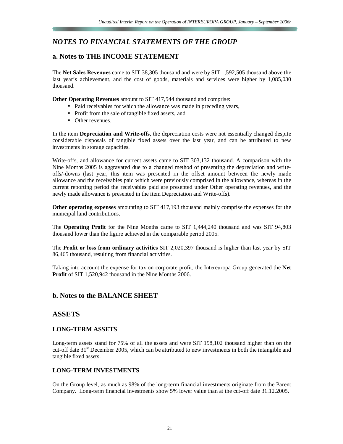## *NOTES TO FINANCIAL STATEMENTS OF THE GROUP*

## **a. Notes to THE INCOME STATEMENT**

The **Net Sales Revenues** came to SIT 38,305 thousand and were by SIT 1,592,505 thousand above the last year's achievement, and the cost of goods, materials and services were higher by 1,085,030 thousand.

**Other Operating Revenues** amount to SIT 417,544 thousand and comprise:

- Paid receivables for which the allowance was made in preceding years,
- Profit from the sale of tangible fixed assets, and
- Other revenues.

In the item **Depreciation and Write-offs**, the depreciation costs were not essentially changed despite considerable disposals of tangible fixed assets over the last year, and can be attributed to new investments in storage capacities.

Write-offs, and allowance for current assets came to SIT 303,132 thousand. A comparison with the Nine Months 2005 is aggravated due to a changed method of presenting the depreciation and writeoffs/-downs (last year, this item was presented in the offset amount between the newly made allowance and the receivables paid which were previously comprised in the allowance, whereas in the current reporting period the receivables paid are presented under Other operating revenues, and the newly made allowance is presented in the item Depreciation and Write-offs).

**Other operating expenses** amounting to SIT 417,193 thousand mainly comprise the expenses for the municipal land contributions.

The **Operating Profit** for the Nine Months came to SIT 1,444,240 thousand and was SIT 94,803 thousand lower than the figure achieved in the comparable period 2005.

The **Profit or loss from ordinary activities** SIT 2,020,397 thousand is higher than last year by SIT 86,465 thousand, resulting from financial activities.

Taking into account the expense for tax on corporate profit, the Intereuropa Group generated the **Net Profit** of SIT 1,520,942 thousand in the Nine Months 2006.

## **b. Notes to the BALANCE SHEET**

## **ASSETS**

## **LONG-TERM ASSETS**

Long-term assets stand for 75% of all the assets and were SIT 198,102 thousand higher than on the cut-off date  $31<sup>st</sup>$  December 2005, which can be attributed to new investments in both the intangible and tangible fixed assets.

## **LONG-TERM INVESTMENTS**

On the Group level, as much as 98% of the long-term financial investments originate from the Parent Company. Long-term financial investments show 5% lower value than at the cut-off date 31.12.2005.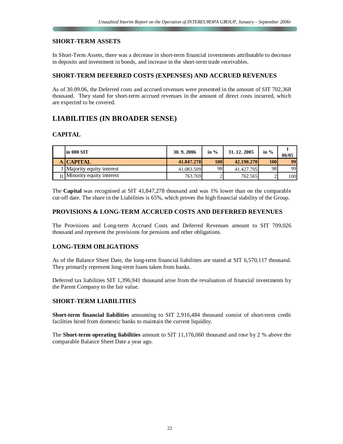## **SHORT-TERM ASSETS**

In Short-Term Assets, there was a decrease in short-term financial investments attributable to decrease in deposits and investment in bonds, and increase in the short-term trade receivables.

## **SHORT-TERM DEFERRED COSTS (EXPENSES) AND ACCRUED REVENUES**

As of 30.09.06, the Deferred costs and accrued revenues were presented in the amount of SIT 702,368 thousand. They stand for short-term accrued revenues in the amount of direct costs incurred, which are expected to be covered.

## **LIABILITIES (IN BROADER SENSE)**

## **CAPITAL**

| lin 000 SIT                          | 30.9.2006  | in $\%$ | 31, 12, 2005 | in $%$     | 06/05 |
|--------------------------------------|------------|---------|--------------|------------|-------|
| A. CAPITAL                           | 41.847.278 | 100     | 42.190.270   | <b>100</b> | 99    |
| I. Majority equity interest          | 41.083.509 | 98      | 41.427.705   | 98         | 99    |
| $\text{II}$ Minority equity interest | 763.769    |         | 762.565      |            | 100I  |

The **Capital** was recognised at SIT 41,847,278 thousand and was 1% lower than on the comparable cut-off date. The share in the Liabilities is 65%, which proves the high financial stability of the Group.

## **PROVISIONS & LONG-TERM ACCRUED COSTS AND DEFERRED REVENUES**

The Provisions and Long-term Accrued Costs and Deferred Revenues amount to SIT 709,026 thousand and represent the provisions for pensions and other obligations.

## **LONG-TERM OBLIGATIONS**

As of the Balance Sheet Date, the long-term financial liabilities are stated at SIT 6,570,117 thousand. They primarily represent long-term loans taken from banks.

Deferred tax liabilities SIT 1,396,941 thousand arise from the revaluation of financial investments by the Parent Company to the fair value.

## **SHORT-TERM LIABILITIES**

**Short-term financial liabilities** amounting to SIT 2,916,484 thousand consist of short-term credit facilities hired from domestic banks to maintain the current liquidity.

The **Short-term operating liabilities** amount to SIT 11,176,060 thousand and rose by 2 % above the comparable Balance Sheet Date a year ago.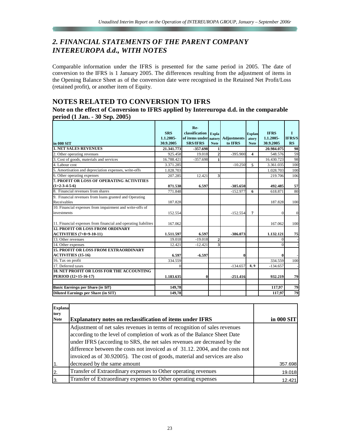## *2. FINANCIAL STATEMENTS OF THE PARENT COMPANY INTEREUROPA d.d., WITH NOTES*

Comparable information under the IFRS is presented for the same period in 2005. The date of conversion to the IFRS is 1 January 2005. The differences resulting from the adjustment of items in the Opening Balance Sheet as of the conversion date were recognised in the Retained Net Profit/Loss (retained profit), or another item of Equity.

## **NOTES RELATED TO CONVERSION TO IFRS**

## **Note on the effect of Conversion to IFRS applied by Intereuropa d.d. in the comparable period (1 Jan. - 30 Sep. 2005)**

| in 000 SIT                                                                 | <b>SRS</b><br>1.1.2005-<br>30.9.2005 | Re-<br>classification<br>of items under natory Adjustments<br><b>SRS/IFRS</b> | <b>Expla</b><br><b>Note</b> | to IFRS    | <b>Explan</b><br>atory<br><b>Note</b> | <b>IFRS</b><br>1.1.2005-<br>30.9.2005 | T<br><b>IFRS/S</b><br>RS |
|----------------------------------------------------------------------------|--------------------------------------|-------------------------------------------------------------------------------|-----------------------------|------------|---------------------------------------|---------------------------------------|--------------------------|
| <b>1. NET SALES REVENUES</b>                                               | 21.341.773                           | $-357.698$                                                                    | 1                           |            |                                       | 20.984.075                            | 98                       |
| 2. Other operating revenues                                                | 925.458                              | 19.018                                                                        | $\overline{2}$              | $-395.900$ | 4                                     | 548.576                               | 59                       |
| 3. Cost of goods, materials and services                                   | 16.788.421                           | $-357.698$                                                                    |                             |            |                                       | 16.430.723                            | 98                       |
| 4. Labour cost                                                             | 3.371.285                            |                                                                               |                             | $-10.250$  | 5                                     | 3.361.035                             | 100                      |
| 5. Amortisation and depreciation expenses, write-offs                      | 1.028.703                            |                                                                               |                             |            |                                       | 1.028.703                             | 100                      |
| 6. Other operating expenses                                                | 207.285                              | 12.421                                                                        | $\overline{\mathbf{3}}$     |            |                                       | 219.706                               | 106                      |
| 7. PROFIT OR LOSS OF OPERATING ACTIVITIES<br>$(1+2-3-4-5-6)$               | 871.538                              | 6.597                                                                         |                             | $-385.650$ |                                       | 492.485                               | 57                       |
| 8. Financial revenues from shares                                          | 771.848                              |                                                                               |                             | $-152.977$ | 6                                     | 618.871                               | 80                       |
| 9. Financial revenues from loans granted and Operating<br>Receivables      | 187.828                              |                                                                               |                             |            |                                       | 187.828                               | 100                      |
| 10. Financial expenses from impairment and write-offs of<br>investments    | 152.554                              |                                                                               |                             | $-152.554$ | 7                                     | $\Omega$                              | $\mathbf{0}$             |
| 11. Financial expenses from financial and operating liabilites             | 167.062                              |                                                                               |                             |            |                                       | 167.062                               | 100                      |
| <b>12. PROFIT OR LOSS FROM ORDINARY</b><br><b>ACTIVITIES</b> (7+8+9-10-11) | 1.511.597                            | 6.597                                                                         |                             | -386.073   |                                       | 1.132.121                             | 75                       |
| 13. Other revenues                                                         | 19.018                               | $-19.018$                                                                     | $\overline{2}$              |            |                                       | 0                                     |                          |
| 14. Other expenses                                                         | 12.421                               | $-12.421$                                                                     | $\overline{\mathbf{3}}$     |            |                                       | $\theta$                              |                          |
| <b>15. PROFIT OR LOSS FROM EXTRAORDINARY</b><br><b>ACTIVITIES (15-16)</b>  | 6.597                                | $-6.597$                                                                      |                             | 0          |                                       |                                       |                          |
| 16. Tax on profit                                                          | 334.559                              |                                                                               |                             |            |                                       | 334.559                               | 100                      |
| 17. Deferred taxes                                                         | $\Omega$                             |                                                                               |                             | $-134.657$ | 8,9                                   | $-134.657$                            |                          |
| <b>18. NET PROFIT OR LOSS FOR THE ACCOUNTING</b><br>PERIOD (12+15-16-17)   | 1.183.635                            | $\bf{0}$                                                                      |                             | $-251.416$ |                                       | 932.219                               | 79                       |
| Basic Earnings per Share (in SIT)                                          | 149,78                               |                                                                               |                             |            |                                       | 117,97                                | 79                       |
| <b>Diluted Earnings per Share (in SIT)</b>                                 | 149,78                               |                                                                               |                             |            |                                       | 117,97                                | 79                       |

| <b>Explana</b><br>tory |                                                                                                                                                                                                                                                                                                                                                                                                       |            |
|------------------------|-------------------------------------------------------------------------------------------------------------------------------------------------------------------------------------------------------------------------------------------------------------------------------------------------------------------------------------------------------------------------------------------------------|------------|
| <b>Note</b>            | <b>Explanatory notes on reclassification of items under IFRS</b>                                                                                                                                                                                                                                                                                                                                      | in 000 SIT |
|                        | Adjustment of net sales revenues in terms of recognition of sales revenues<br>according to the level of completion of work as of the Balance Sheet Date<br>under IFRS (according to SRS, the net sales revenues are decreased by the<br>difference between the costs not invoiced as of 31.12. 2004, and the costs not<br>invoiced as of 30.92005). The cost of goods, material and services are also |            |
| $\overline{1}$         | decreased by the same amount                                                                                                                                                                                                                                                                                                                                                                          | 357.698    |
| $\overline{2}$         | Transfer of Extraordinary expenses to Other operating revenues                                                                                                                                                                                                                                                                                                                                        | 19.018     |
| 3                      | Transfer of Extraordinary expenses to Other operating expenses                                                                                                                                                                                                                                                                                                                                        | 12.421     |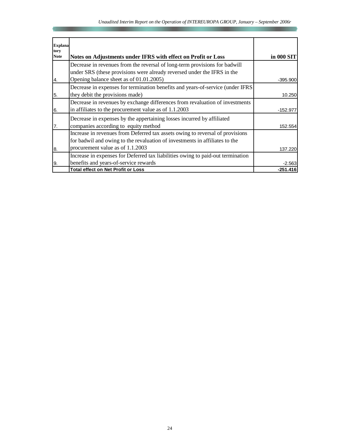| <b>Explana</b><br>tory |                                                                                                                                                       |            |
|------------------------|-------------------------------------------------------------------------------------------------------------------------------------------------------|------------|
| <b>Note</b>            | Notes on Adjustments under IFRS with effect on Profit or Loss                                                                                         | in 000 SIT |
|                        | Decrease in revenues from the reversal of long-term provisions for badwill<br>under SRS (these provisions were already reversed under the IFRS in the |            |
| 4.                     | Opening balance sheet as of 01.01.2005)                                                                                                               | $-395.900$ |
|                        | Decrease in expenses for termination benefits and years-of-service (under IFRS                                                                        |            |
| 5.                     | they debit the provisions made)                                                                                                                       | 10.250     |
|                        | Decrease in revenues by exchange differences from revaluation of investments                                                                          |            |
| 6.                     | in affiliates to the procurement value as of 1.1.2003                                                                                                 | $-152.977$ |
| 7.                     | Decrease in expenses by the appertaining losses incurred by affiliated<br>companies according to equity method                                        | 152.554    |
|                        | Increase in revenues from Deferred tax assets owing to reversal of provisions                                                                         |            |
|                        | for badwil and owing to the revaluation of investments in affiliates to the                                                                           |            |
| 8.                     | procurement value as of 1.1.2003                                                                                                                      | 137.220    |
|                        | Increase in expenses for Deferred tax liabilities owing to paid-out termination                                                                       |            |
| 9.                     | benefits and years-of-service rewards                                                                                                                 | $-2.563$   |
|                        | <b>Total effect on Net Profit or Loss</b>                                                                                                             | $-251.416$ |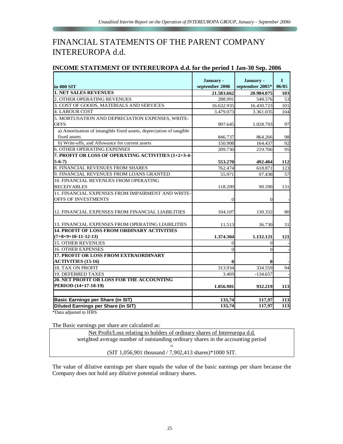# FINANCIAL STATEMENTS OF THE PARENT COMPANY INTEREUROPA d.d.

| INCOME STATEMENT OF INTEREUROPA d.d. for the period 1 Jan-30 Sep. 2006 |  |  |
|------------------------------------------------------------------------|--|--|
|                                                                        |  |  |

| in 000 SIT                                                                  | January -<br>september 2006 | January -<br>september 2005* | $\mathbf{I}$<br>06/05 |
|-----------------------------------------------------------------------------|-----------------------------|------------------------------|-----------------------|
| <b>1. NET SALES REVENUES</b>                                                | 21.583.662                  | 20.984.075                   | 103                   |
| 2. OTHER OPERATING REVENUES                                                 | 288.991                     | 548.576                      | 53                    |
| 3. COST OF GOODS, MATERIALS AND SERVICES                                    | 16.632.935                  | 16.430.723                   | 101                   |
| <b>4. LABOUR COST</b>                                                       | 3.479.073                   | 3.361.035                    | 104                   |
| 5. MORTUSATION AND DEPRECIATION EXPENSES, WRITE-                            |                             |                              |                       |
| <b>OFFS</b>                                                                 | 997.645                     | 1.028.703                    | 97                    |
| a) Amortisation of intangible fixed assets, depreciation of tangible        |                             |                              |                       |
| fixed assets                                                                | 846.737                     | 864.266                      | 98                    |
| b) Write-offs, and Allowance for current assets                             | 150.908                     | 164.437                      | 92                    |
| <b>6. OTHER OPERATING EXPENSES</b>                                          | 209.730                     | 219.706                      | 95                    |
| 7. PROFIT OR LOSS OF OPERATING ACTIVITIES (1+2+3-4-                         |                             |                              |                       |
| $5-6-7$                                                                     | 553.270                     | 492.484                      | 112                   |
| 8. FINANCIAL REVENUES FROM SHARES                                           | 762.474                     | 618.871                      | 123                   |
| 9. FINANCIAL REVENUES FROM LOANS GRANTED                                    | 55.971                      | 97.438                       | 57                    |
| <b>10. FINANCIAL REVENUES FROM OPERATING</b>                                |                             |                              |                       |
| <b>RECEIVABLES</b>                                                          | 118.209                     | 90.390                       | 131                   |
| 11. FINANCIAL EXPENSES FROM IMPAIRMENT AND WRITE-                           |                             |                              |                       |
| OFFS OF INVESTMENTS                                                         | $\Omega$                    | $\Omega$                     |                       |
| 12. FINANCIAL EXPENSES FROM FINANCIAL LIABILITIES                           | 104.107                     | 130.332                      | 80                    |
| 13. FINANCIAL EXPENSES FROM OPERATING LIABILITIES                           | 11.513                      | 36.730                       | 31                    |
| <b>14. PROFIT OF LOSS FROM ORDINARY ACTIVITIES</b><br>$(7+8+9+10-11-12-13)$ | 1.374.304                   | 1.132.121                    | 121                   |
| <b>15. OTHER REVENUES</b>                                                   | $\Omega$                    | $\overline{0}$               |                       |
| <b>16. OTHER EXPENSES</b>                                                   | $\theta$                    | $\theta$                     |                       |
| <b>17. PROFIT OR LOSS FROM EXTRAORDINARY</b>                                |                             |                              |                       |
| <b>ACTIVITIES (15-16)</b>                                                   | 0                           | 0                            |                       |
| <b>18. TAX ON PROFIT</b>                                                    | 313.934                     | 334.559                      | 94                    |
| 19. DEFERRED TAXES                                                          | 3.469                       | $-134.657$                   |                       |
| <b>20. NET PROFIT OR LOSS FOR THE ACCOUNTING</b>                            |                             |                              |                       |
| PERIOD (14+17-18-19)                                                        | 1.056.901                   | 932.219                      | 113                   |
|                                                                             |                             |                              |                       |
| <b>Basic Earnings per Share (in SIT)</b>                                    | 133,74                      | 117,97                       | 113                   |
| Diluted Earnings per Share (in SIT)                                         | 133.74                      | 117,97                       | 113                   |

\*Data adjusted to IFRS

The Basic earnings per share are calculated as:

Net Profit/Loss relating to holders of ordinary shares of Intereuropa d.d. weighted average number of outstanding ordinary shares in the accounting period = (SIT 1,056,901 thousand / 7,902,413 shares)\*1000 SIT.

The value of dilutive earnings per share equals the value of the basic earnings per share because the Company does not hold any dilutive potential ordinary shares.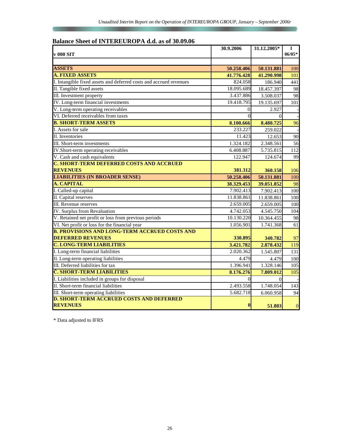## **Balance Sheet of INTEREUROPA d.d. as of 30.09.06**

| v 000 SIT                                                          | 30.9.2006  | 31.12.2005* | $\mathbf I$<br>$06/05*$ |
|--------------------------------------------------------------------|------------|-------------|-------------------------|
|                                                                    |            |             |                         |
| <b>ASSETS</b>                                                      | 50.258.406 | 50.131.881  | 100                     |
| <b>A. FIXED ASSETS</b>                                             | 41.776.428 | 41.290.998  | 101                     |
| I. Intangible fixed assets and deferred costs and accrued revenues | 824.058    | 186.940     | 441                     |
| II. Tangible fixed assets                                          | 18.095.689 | 18.457.397  | 98                      |
| III. Investment property                                           | 3.437.886  | 3.508.037   | 98                      |
| IV. Long-term financial investments                                | 19.418.795 | 19.135.697  | 101                     |
| V. Long-term operating receivables                                 | $\theta$   | 2.927       |                         |
| VI. Deferred receivables from taxes                                | $\Omega$   | $\theta$    |                         |
| <b>B. SHORT-TERM ASSETS</b>                                        | 8.100.666  | 8.480.725   | 96                      |
| I. Assets for sale                                                 | 233.227    | 259.022     |                         |
| <b>II.</b> Inventories                                             | 11.423     | 12.653      | 90                      |
| III. Short-term investments                                        | 1.324.182  | 2.348.561   | 56                      |
| IV.Short-term operating receivables                                | 6.408.887  | 5.735.815   | 112                     |
| V. Cash and cash equivalents                                       | 122.947    | 124.674     | 99                      |
| <b>C. SHORT-TERM DEFERRED COSTS AND ACCRUED</b>                    |            |             |                         |
| <b>REVENUES</b>                                                    | 381.312    | 360.158     | 106                     |
| <b>LIABILITIES (IN BROADER SENSE)</b>                              | 50.258.406 | 50.131.881  | 100                     |
| A. CAPITAL                                                         | 38.329.453 | 39.051.852  | 98                      |
| I. Called-up capital                                               | 7.902.413  | 7.902.413   | 100                     |
| II. Capital reserves                                               | 11.838.861 | 11.838.861  | 100                     |
| III. Revenue reserves                                              | 2.659.005  | 2.659.005   | 100                     |
| IV. Surplus from Revaluation                                       | 4.742.053  | 4.545.750   | 104                     |
| V. Retained net profit or loss from previous periods               | 10.130.220 | 10.364.455  | 98                      |
| VI. Net profit or loss for the financial year                      | 1.056.901  | 1.741.368   | 61                      |
| <b>B. PROVISIONS AND LONG-TERM ACCRUED COSTS AND</b>               |            |             |                         |
| <b>DEFERRED REVENUES</b>                                           | 330.895    | 340.782     | 97                      |
| <b>C. LONG-TERM LIABILITIES</b>                                    | 3.421.782  | 2.878.432   | 119                     |
| I. Long-term financial liabilities                                 | 2.020.362  | 1.545.807   | 131                     |
| II. Long-term operating liabilities                                | 4.479      | 4.479       | 100                     |
| III. Deferred liabilities for tax                                  | 1.396.941  | 1.328.146   | 105                     |
| <b>Č. SHORT-TERM LIABILITIES</b>                                   | 8.176.276  | 7.809.012   | 105                     |
| I. Liabilities included in groups for disposal                     | $\Omega$   | $\Omega$    |                         |
| II. Short-term financial liabilities                               | 2.493.558  | 1.748.054   | 143                     |
| III. Short-term operating liabilities                              | 5.682.718  | 6.060.958   | 94                      |
| <b>D. SHORT-TERM ACCRUED COSTS AND DEFERRED</b><br><b>REVENUES</b> | $\bf{0}$   | 51.803      | $\mathbf{0}$            |

\* Data adjusted to IFRS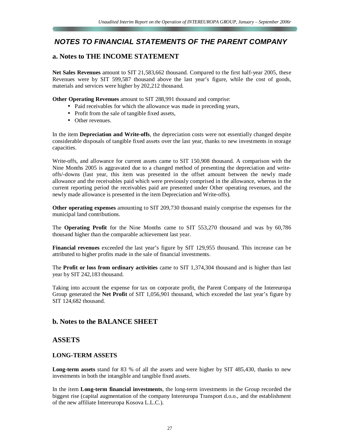## *NOTES TO FINANCIAL STATEMENTS OF THE PARENT COMPANY*

## **a. Notes to THE INCOME STATEMENT**

**Net Sales Revenues** amount to SIT 21,583,662 thousand. Compared to the first half-year 2005, these Revenues were by SIT 599,587 thousand above the last year's figure, while the cost of goods, materials and services were higher by 202,212 thousand.

**Other Operating Revenues** amount to SIT 288,991 thousand and comprise:

- Paid receivables for which the allowance was made in preceding years,
- Profit from the sale of tangible fixed assets,
- Other revenues.

In the item **Depreciation and Write-offs**, the depreciation costs were not essentially changed despite considerable disposals of tangible fixed assets over the last year, thanks to new investments in storage capacities.

Write-offs, and allowance for current assets came to SIT 150,908 thousand. A comparison with the Nine Months 2005 is aggravated due to a changed method of presenting the depreciation and writeoffs/-downs (last year, this item was presented in the offset amount between the newly made allowance and the receivables paid which were previously comprised in the allowance, whereas in the current reporting period the receivables paid are presented under Other operating revenues, and the newly made allowance is presented in the item Depreciation and Write-offs).

**Other operating expenses** amounting to SIT 209,730 thousand mainly comprise the expenses for the municipal land contributions.

The **Operating Profit** for the Nine Months came to SIT 553,270 thousand and was by 60,786 thousand higher than the comparable achievement last year.

**Financial revenues** exceeded the last year's figure by SIT 129,955 thousand. This increase can be attributed to higher profits made in the sale of financial investments.

The **Profit or loss from ordinary activities** came to SIT 1,374,304 thousand and is higher than last year by SIT 242,183 thousand.

Taking into account the expense for tax on corporate profit, the Parent Company of the Intereuropa Group generated the **Net Profit** of SIT 1,056,901 thousand, which exceeded the last year's figure by SIT 124,682 thousand.

## **b. Notes to the BALANCE SHEET**

## **ASSETS**

#### **LONG-TERM ASSETS**

**Long-term assets** stand for 83 % of all the assets and were higher by SIT 485,430, thanks to new investments in both the intangible and tangible fixed assets.

In the item **Long-term financial investments**, the long-term investments in the Group recorded the biggest rise (capital augmentation of the company Intereuropa Transport d.o.o., and the establishment of the new affiliate Intereuropa Kosova L.L.C.).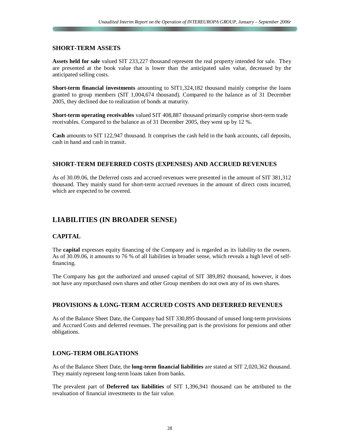#### **SHORT-TERM ASSETS**

**Assets held for sale** valued SIT 233,227 thousand represent the real property intended for sale. They are presented at the book value that is lower than the anticipated sales value, decreased by the anticipated selling costs.

**Short-term financial investments** amounting to SIT1,324,182 thousand mainly comprise the loans granted to group members (SIT 1,004,674 thousand). Compared to the balance as of 31 December 2005, they declined due to realization of bonds at maturity.

**Short-term operating receivables** valued SIT 408,887 thousand primarily comprise short-term trade receivables. Compared to the balance as of 31 December 2005, they went up by 12 %.

**Cash** amounts to SIT 122,947 thousand. It comprises the cash held in the bank accounts, call deposits, cash in hand and cash in transit.

#### **SHORT-TERM DEFERRED COSTS (EXPENSES) AND ACCRUED REVENUES**

As of 30.09.06, the Deferred costs and accrued revenues were presented in the amount of SIT 381,312 thousand. They mainly stand for short-term accrued revenues in the amount of direct costs incurred, which are expected to be covered.

## **LIABILITIES (IN BROADER SENSE)**

## **CAPITAL**

The **capital** expresses equity financing of the Company and is regarded as its liability to the owners. As of 30.09.06, it amounts to 76 % of all liabilities in broader sense, which reveals a high level of selffinancing.

The Company has got the authorized and unused capital of SIT 389,892 thousand, however, it does not have any repurchased own shares and other Group members do not own any of its own shares.

## **PROVISIONS & LONG-TERM ACCRUED COSTS AND DEFERRED REVENUES**

As of the Balance Sheet Date, the Company had SIT 330,895 thousand of unused long-term provisions and Accrued Costs and deferred revenues. The prevailing part is the provisions for pensions and other obligations.

## **LONG-TERM OBLIGATIONS**

As of the Balance Sheet Date, the **long-term financial liabilities** are stated at SIT 2,020,362 thousand. They mainly represent long-term loans taken from banks.

The prevalent part of **Deferred tax liabilities** of SIT 1,396,941 thousand can be attributed to the revaluation of financial investments to the fair value.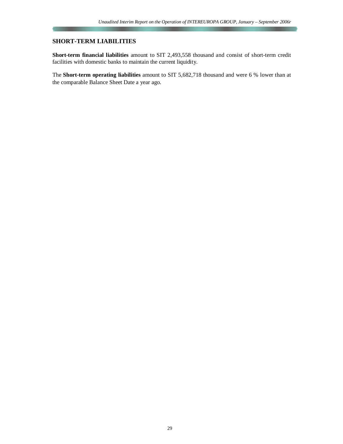## **SHORT-TERM LIABILITIES**

**Short-term financial liabilities** amount to SIT 2,493,558 thousand and consist of short-term credit facilities with domestic banks to maintain the current liquidity.

The **Short-term operating liabilities** amount to SIT 5,682,718 thousand and were 6 % lower than at the comparable Balance Sheet Date a year ago.